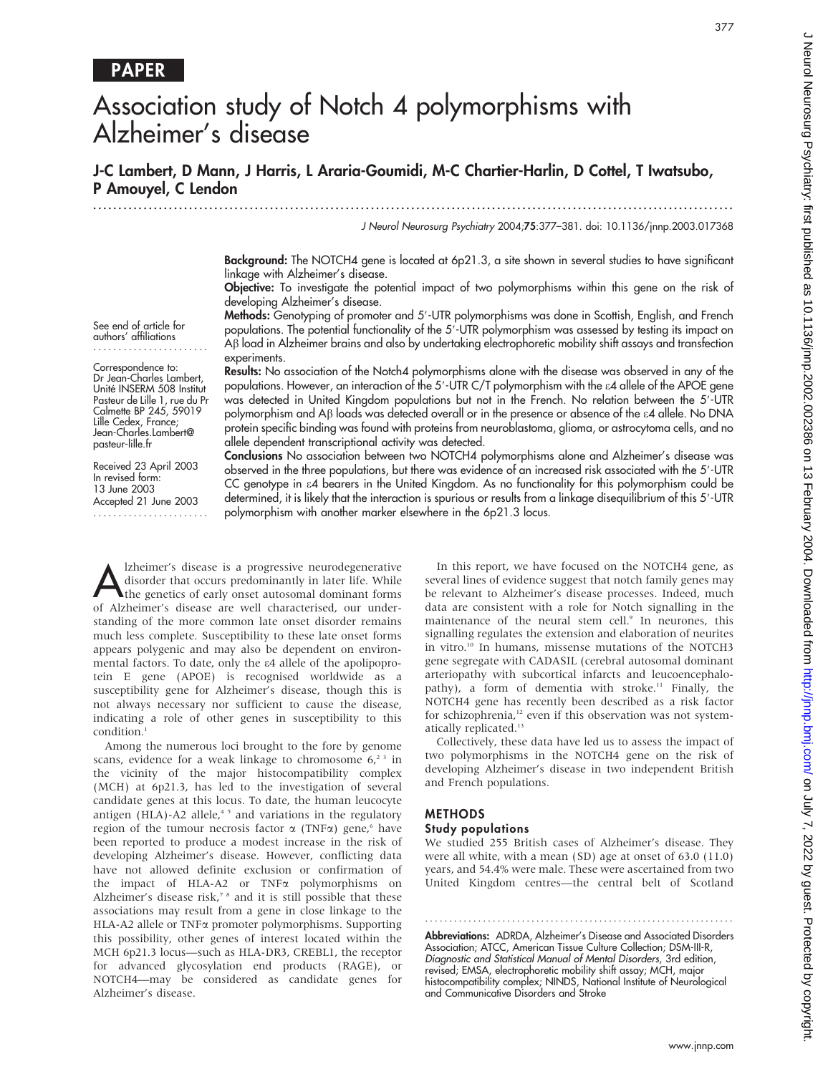# PAPER

# Association study of Notch 4 polymorphisms with Alzheimer's disease

## J-C Lambert, D Mann, J Harris, L Araria-Goumidi, M-C Chartier-Harlin, D Cottel, T Iwatsubo, P Amouyel, C Lendon

.............................................................................................................................. . J Neurol Neurosurg Psychiatry 2004;75:377–381. doi: 10.1136/jnnp.2003.017368

> Background: The NOTCH4 gene is located at 6p21.3, a site shown in several studies to have significant linkage with Alzheimer's disease.

> Objective: To investigate the potential impact of two polymorphisms within this gene on the risk of developing Alzheimer's disease.

> Methods: Genotyping of promoter and 5'-UTR polymorphisms was done in Scottish, English, and French populations. The potential functionality of the 5'-UTR polymorphism was assessed by testing its impact on Ab load in Alzheimer brains and also by undertaking electrophoretic mobility shift assays and transfection experiments.

> Results: No association of the Notch4 polymorphisms alone with the disease was observed in any of the populations. However, an interaction of the 5'-UTR C/T polymorphism with the  $\varepsilon$ 4 allele of the APOE gene was detected in United Kingdom populations but not in the French. No relation between the 5'-UTR polymorphism and A<sub>B</sub> loads was detected overall or in the presence or absence of the  $\epsilon$ 4 allele. No DNA protein specific binding was found with proteins from neuroblastoma, glioma, or astrocytoma cells, and no allele dependent transcriptional activity was detected.

> Conclusions No association between two NOTCH4 polymorphisms alone and Alzheimer's disease was observed in the three populations, but there was evidence of an increased risk associated with the 5'-UTR CC genotype in e4 bearers in the United Kingdom. As no functionality for this polymorphism could be determined, it is likely that the interaction is spurious or results from a linkage disequilibrium of this 5'-UTR polymorphism with another marker elsewhere in the 6p21.3 locus.

Alzheimer's disease is a progressive neurodegenerative<br>disorder that occurs predominantly in later life. While<br>the genetics of early onset autosomal dominant forms<br>of Alzheimer's disease are well absorptedied aux under disorder that occurs predominantly in later life. While of Alzheimer's disease are well characterised, our understanding of the more common late onset disorder remains much less complete. Susceptibility to these late onset forms appears polygenic and may also be dependent on environmental factors. To date, only the e4 allele of the apolipoprotein E gene (APOE) is recognised worldwide as a susceptibility gene for Alzheimer's disease, though this is not always necessary nor sufficient to cause the disease, indicating a role of other genes in susceptibility to this condition.<sup>1</sup>

Among the numerous loci brought to the fore by genome scans, evidence for a weak linkage to chromosome  $6<sup>23</sup>$  in the vicinity of the major histocompatibility complex (MCH) at 6p21.3, has led to the investigation of several candidate genes at this locus. To date, the human leucocyte antigen (HLA)-A2 allele, $45$  and variations in the regulatory region of the tumour necrosis factor  $\alpha$  (TNF $\alpha$ ) gene,<sup>6</sup> have been reported to produce a modest increase in the risk of developing Alzheimer's disease. However, conflicting data have not allowed definite exclusion or confirmation of the impact of HLA-A2 or TNF $\alpha$  polymorphisms on Alzheimer's disease risk,<sup>7</sup> <sup>8</sup> and it is still possible that these associations may result from a gene in close linkage to the HLA-A2 allele or TNF<sub>x</sub> promoter polymorphisms. Supporting this possibility, other genes of interest located within the MCH 6p21.3 locus—such as HLA-DR3, CREBL1, the receptor for advanced glycosylation end products (RAGE), or NOTCH4—may be considered as candidate genes for Alzheimer's disease.

In this report, we have focused on the NOTCH4 gene, as several lines of evidence suggest that notch family genes may be relevant to Alzheimer's disease processes. Indeed, much data are consistent with a role for Notch signalling in the maintenance of the neural stem cell.<sup>9</sup> In neurones, this signalling regulates the extension and elaboration of neurites in vitro.10 In humans, missense mutations of the NOTCH3 gene segregate with CADASIL (cerebral autosomal dominant arteriopathy with subcortical infarcts and leucoencephalopathy), a form of dementia with stroke.<sup>11</sup> Finally, the NOTCH4 gene has recently been described as a risk factor for schizophrenia,<sup>12</sup> even if this observation was not systematically replicated.<sup>13</sup>

Collectively, these data have led us to assess the impact of two polymorphisms in the NOTCH4 gene on the risk of developing Alzheimer's disease in two independent British and French populations.

## **METHODS**

#### Study populations

We studied 255 British cases of Alzheimer's disease. They were all white, with a mean (SD) age at onset of 63.0 (11.0) years, and 54.4% were male. These were ascertained from two United Kingdom centres—the central belt of Scotland

Abbreviations: ADRDA, Alzheimer's Disease and Associated Disorders Association; ATCC, American Tissue Culture Collection; DSM-III-R, Diagnostic and Statistical Manual of Mental Disorders, 3rd edition, revised; EMSA, electrophoretic mobility shift assay; MCH, major histocompatibility complex; NINDS, National Institute of Neurological and Communicative Disorders and Stroke

............................................................... .

Correspondence to: Dr Jean-Charles Lambert, Unité INSERM 508 Institut Pasteur de Lille 1, rue du Pr Calmette BP 245, 59019 Lille Cedex, France; Jean-Charles.Lambert@ pasteur-lille.fr

See end of article for authors' affiliations .......................

Received 23 April 2003 In revised form: 13 June 2003 Accepted 21 June 2003 .......................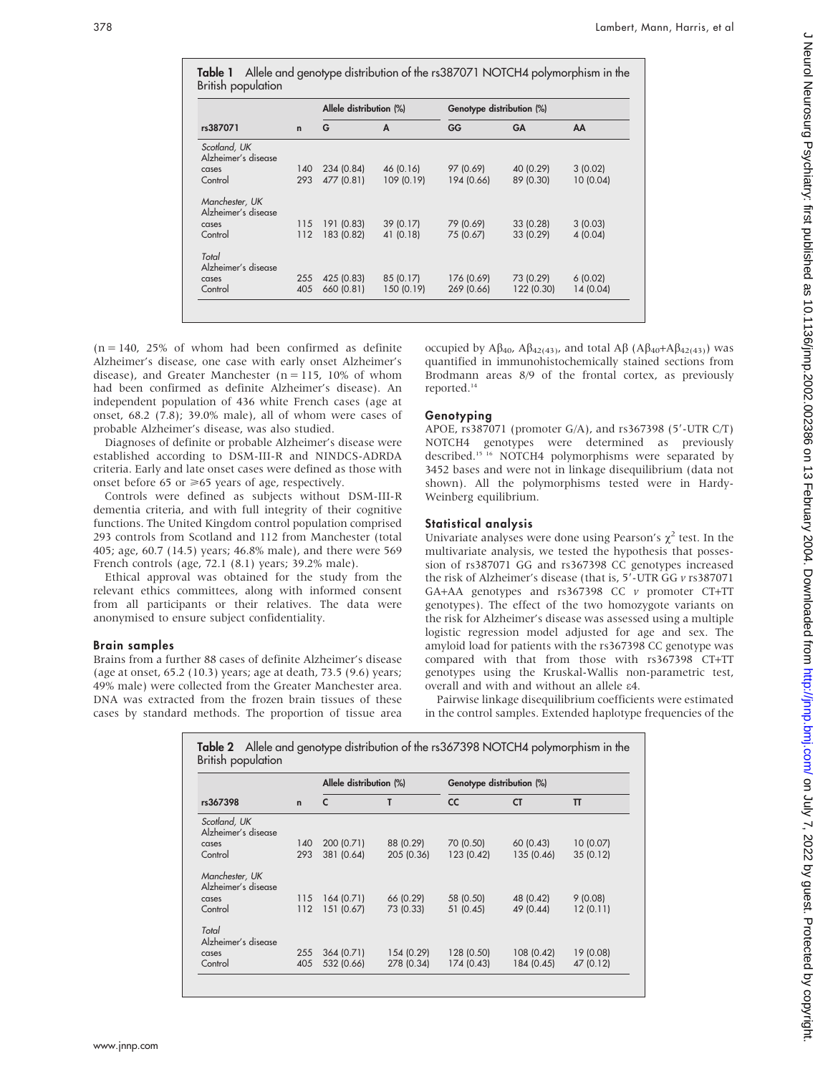|                                       |             | Allele distribution (%) |            | Genotype distribution (%) |            |           |
|---------------------------------------|-------------|-------------------------|------------|---------------------------|------------|-----------|
| rs387071                              | $\mathbf n$ | G                       | A          | GG                        | GA         | AA        |
| Scotland, UK<br>Alzheimer's disease   |             |                         |            |                           |            |           |
| cases                                 | 140         | 234 (0.84)              | 46 (0.16)  | 97 (0.69)                 | 40 (0.29)  | 3(0.02)   |
| Control                               | 293         | 477 (0.81)              | 109 (0.19) | 194 (0.66)                | 89 (0.30)  | 10 (0.04) |
| Manchester, UK<br>Alzheimer's disease |             |                         |            |                           |            |           |
| cases                                 | 115         | 191 (0.83)              | 39 (0.17)  | 79 (0.69)                 | 33 (0.28)  | 3(0.03)   |
| Control                               | 112         | 183 (0.82)              | 41 (0.18)  | 75 (0.67)                 | 33 (0.29)  | 4(0.04)   |
| Total<br>Alzheimer's disease          |             |                         |            |                           |            |           |
| cases                                 | 255         | 425 (0.83)              | 85 (0.17)  | 176 (0.69)                | 73 (0.29)  | 6(0.02)   |
| Control                               | 405         | 660 (0.81)              | 150 (0.19) | 269 (0.66)                | 122 (0.30) | 14 (0.04) |

 $(n = 140, 25\%$  of whom had been confirmed as definite Alzheimer's disease, one case with early onset Alzheimer's disease), and Greater Manchester ( $n = 115$ , 10% of whom had been confirmed as definite Alzheimer's disease). An independent population of 436 white French cases (age at onset, 68.2 (7.8); 39.0% male), all of whom were cases of probable Alzheimer's disease, was also studied.

Diagnoses of definite or probable Alzheimer's disease were established according to DSM-III-R and NINDCS-ADRDA criteria. Early and late onset cases were defined as those with onset before 65 or  $\geq 65$  years of age, respectively.

Controls were defined as subjects without DSM-III-R dementia criteria, and with full integrity of their cognitive functions. The United Kingdom control population comprised 293 controls from Scotland and 112 from Manchester (total 405; age, 60.7 (14.5) years; 46.8% male), and there were 569 French controls (age, 72.1 (8.1) years; 39.2% male).

Ethical approval was obtained for the study from the relevant ethics committees, along with informed consent from all participants or their relatives. The data were anonymised to ensure subject confidentiality.

#### Brain samples

Brains from a further 88 cases of definite Alzheimer's disease (age at onset, 65.2 (10.3) years; age at death, 73.5 (9.6) years; 49% male) were collected from the Greater Manchester area. DNA was extracted from the frozen brain tissues of these cases by standard methods. The proportion of tissue area

occupied by  $A\beta_{40}$ ,  $A\beta_{42(43)}$ , and total  $A\beta$  ( $A\beta_{40}+A\beta_{42(43)}$ ) was quantified in immunohistochemically stained sections from Brodmann areas 8/9 of the frontal cortex, as previously reported.14

#### Genotyping

APOE,  $rs387071$  (promoter G/A), and  $rs367398$  (5'-UTR C/T) NOTCH4 genotypes were determined as previously described.<sup>15 16</sup> NOTCH4 polymorphisms were separated by 3452 bases and were not in linkage disequilibrium (data not shown). All the polymorphisms tested were in Hardy-Weinberg equilibrium.

#### Statistical analysis

Univariate analyses were done using Pearson's  $\chi^2$  test. In the multivariate analysis, we tested the hypothesis that possession of rs387071 GG and rs367398 CC genotypes increased the risk of Alzheimer's disease (that is,  $5'$ -UTR GG  $v$  rs387071 GA+AA genotypes and rs367398 CC v promoter CT+TT genotypes). The effect of the two homozygote variants on the risk for Alzheimer's disease was assessed using a multiple logistic regression model adjusted for age and sex. The amyloid load for patients with the rs367398 CC genotype was compared with that from those with rs367398 CT+TT genotypes using the Kruskal-Wallis non-parametric test, overall and with and without an allele e4.

Pairwise linkage disequilibrium coefficients were estimated in the control samples. Extended haplotype frequencies of the

| rs367398                              | $\mathbf n$ | Allele distribution (%) |            | Genotype distribution (%) |            |           |
|---------------------------------------|-------------|-------------------------|------------|---------------------------|------------|-----------|
|                                       |             | C                       | т          | <b>CC</b>                 | <b>CT</b>  | T         |
| Scotland, UK<br>Alzheimer's disease   |             |                         |            |                           |            |           |
| cases                                 | 140         | 200 (0.71)              | 88 (0.29)  | 70 (0.50)                 | 60 (0.43)  | 10 (0.07) |
| Control                               | 293         | 381 (0.64)              | 205 (0.36) | 123 (0.42)                | 135 (0.46) | 35(0.12)  |
| Manchester, UK<br>Alzheimer's disease |             |                         |            |                           |            |           |
| cases                                 | 115         | 164(0.71)               | 66 (0.29)  | 58 (0.50)                 | 48 (0.42)  | 9(0.08)   |
| Control                               | 112         | 151 (0.67)              | 73 (0.33)  | 51 (0.45)                 | 49 (0.44)  | 12(0.11)  |
| Total<br>Alzheimer's disease          |             |                         |            |                           |            |           |
| cases                                 | 255         | 364 (0.71)              | 154 (0.29) | 128 (0.50)                | 108 (0.42) | 19 (0.08) |
| Control                               | 405         | 532 (0.66)              | 278 (0.34) | 174 (0.43)                | 184 (0.45) | 47 (0.12) |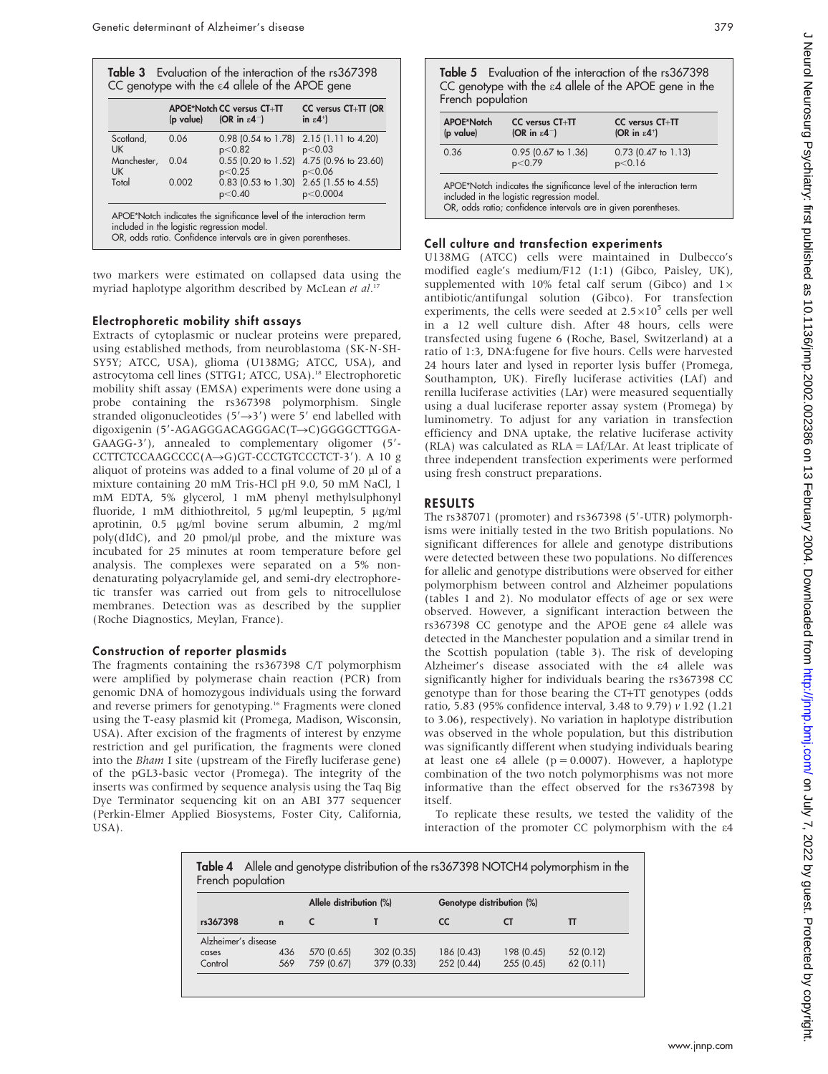|             | (p value) (OR in $\varepsilon$ 4 <sup>-</sup> ) | APOE*Notch CC versus CT+TT      | CC versus CT+TT (OR<br>in $\varepsilon$ 4 <sup>+</sup> ) |
|-------------|-------------------------------------------------|---------------------------------|----------------------------------------------------------|
| Scotland,   | 0.06                                            | $0.98$ (0.54 to 1.78)           | 2.15 (1.11 to 4.20)                                      |
| <b>UK</b>   |                                                 | p<0.82                          | p<0.03                                                   |
| Manchester, | 0.04                                            | $0.55$ (0.20 to 1.52)           | 4.75 (0.96 to 23.60)                                     |
| <b>UK</b>   |                                                 | p<0.25                          | p<0.06                                                   |
| Total       | 0.002                                           | $0.83$ (0.53 to 1.30)<br>p<0.40 | 2.65 (1.55 to 4.55)<br>p<0.0004                          |

two markers were estimated on collapsed data using the myriad haplotype algorithm described by McLean et al.<sup>17</sup>

### Electrophoretic mobility shift assays

Extracts of cytoplasmic or nuclear proteins were prepared, using established methods, from neuroblastoma (SK-N-SH-SY5Y; ATCC, USA), glioma (U138MG; ATCC, USA), and astrocytoma cell lines (STTG1; ATCC, USA).18 Electrophoretic mobility shift assay (EMSA) experiments were done using a probe containing the rs367398 polymorphism. Single stranded oligonucleotides ( $5' \rightarrow 3'$ ) were 5' end labelled with digoxigenin (5'-AGAGGGACAGGGAC(T→C)GGGGCTTGGA-GAAGG-3'), annealed to complementary oligomer (5'-CCTTCTCCAAGCCCC( $A \rightarrow G$ )GT-CCCTGTCCCTCT-3'). A 10 g aliquot of proteins was added to a final volume of  $20 \mu$ l of a mixture containing 20 mM Tris-HCl pH 9.0, 50 mM NaCl, 1 mM EDTA, 5% glycerol, 1 mM phenyl methylsulphonyl fluoride, 1 mM dithiothreitol, 5 µg/ml leupeptin, 5 µg/ml aprotinin, 0.5 mg/ml bovine serum albumin, 2 mg/ml  $poly(dIdC)$ , and 20 pmol/ $µl$  probe, and the mixture was incubated for 25 minutes at room temperature before gel analysis. The complexes were separated on a 5% nondenaturating polyacrylamide gel, and semi-dry electrophoretic transfer was carried out from gels to nitrocellulose membranes. Detection was as described by the supplier (Roche Diagnostics, Meylan, France).

### Construction of reporter plasmids

The fragments containing the rs367398 C/T polymorphism were amplified by polymerase chain reaction (PCR) from genomic DNA of homozygous individuals using the forward and reverse primers for genotyping.16 Fragments were cloned using the T-easy plasmid kit (Promega, Madison, Wisconsin, USA). After excision of the fragments of interest by enzyme restriction and gel purification, the fragments were cloned into the Bham I site (upstream of the Firefly luciferase gene) of the pGL3-basic vector (Promega). The integrity of the inserts was confirmed by sequence analysis using the Taq Big Dye Terminator sequencing kit on an ABI 377 sequencer (Perkin-Elmer Applied Biosystems, Foster City, California, USA).

Table 5 Evaluation of the interaction of the rs367398 CC genotype with the  $\varepsilon$ 4 allele of the APOE gene in the French population

| APOE*Notch<br>(p value) | CC versus CT+TT<br>(OR in $\varepsilon$ 4 <sup>-</sup> )                                                                                                                            | $CC$ versus $CT+TT$<br>(OR in $\varepsilon$ 4 <sup>+</sup> ) |
|-------------------------|-------------------------------------------------------------------------------------------------------------------------------------------------------------------------------------|--------------------------------------------------------------|
| 0.36                    | $0.95$ (0.67 to 1.36)<br>p<0.79                                                                                                                                                     | $0.73$ (0.47 to 1.13)<br>p<0.16                              |
|                         | APOE*Notch indicates the significance level of the interaction term<br>included in the logistic regression model.<br>OR, odds ratio; confidence intervals are in given parentheses. |                                                              |

### Cell culture and transfection experiments

U138MG (ATCC) cells were maintained in Dulbecco's modified eagle's medium/F12 (1:1) (Gibco, Paisley, UK), supplemented with 10% fetal calf serum (Gibco) and  $1\times$ antibiotic/antifungal solution (Gibco). For transfection experiments, the cells were seeded at  $2.5\times10^5$  cells per well in a 12 well culture dish. After 48 hours, cells were transfected using fugene 6 (Roche, Basel, Switzerland) at a ratio of 1:3, DNA:fugene for five hours. Cells were harvested 24 hours later and lysed in reporter lysis buffer (Promega, Southampton, UK). Firefly luciferase activities (LAf) and renilla luciferase activities (LAr) were measured sequentially using a dual luciferase reporter assay system (Promega) by luminometry. To adjust for any variation in transfection efficiency and DNA uptake, the relative luciferase activity (RLA) was calculated as RLA = LAf/LAr. At least triplicate of three independent transfection experiments were performed using fresh construct preparations.

## RESULTS

The  $rs387071$  (promoter) and  $rs367398$  (5'-UTR) polymorphisms were initially tested in the two British populations. No significant differences for allele and genotype distributions were detected between these two populations. No differences for allelic and genotype distributions were observed for either polymorphism between control and Alzheimer populations (tables 1 and 2). No modulator effects of age or sex were observed. However, a significant interaction between the rs367398 CC genotype and the APOE gene e4 allele was detected in the Manchester population and a similar trend in the Scottish population (table 3). The risk of developing Alzheimer's disease associated with the e4 allele was significantly higher for individuals bearing the rs367398 CC genotype than for those bearing the CT+TT genotypes (odds ratio, 5.83 (95% confidence interval, 3.48 to 9.79) v 1.92 (1.21 to 3.06), respectively). No variation in haplotype distribution was observed in the whole population, but this distribution was significantly different when studying individuals bearing at least one  $\varepsilon$ 4 allele (p = 0.0007). However, a haplotype combination of the two notch polymorphisms was not more informative than the effect observed for the rs367398 by itself.

To replicate these results, we tested the validity of the interaction of the promoter CC polymorphism with the e4

| French population   |             |                         |            |                           | Table 4 Allele and genotype distribution of the rs367398 NOTCH4 polymorphism in the |           |
|---------------------|-------------|-------------------------|------------|---------------------------|-------------------------------------------------------------------------------------|-----------|
|                     |             | Allele distribution (%) |            | Genotype distribution (%) |                                                                                     |           |
| rs367398            | $\mathbf n$ |                         |            | <b>CC</b>                 |                                                                                     |           |
| Alzheimer's disease |             |                         |            |                           |                                                                                     |           |
| cases               | 436         | 570 (0.65)              | 302 (0.35) | 186 (0.43)                | 198 (0.45)                                                                          | 52 (0.12) |
| Control             | 569         | 759 (0.67)              | 379 (0.33) | 252 (0.44)                | 255 (0.45)                                                                          | 62(0.11)  |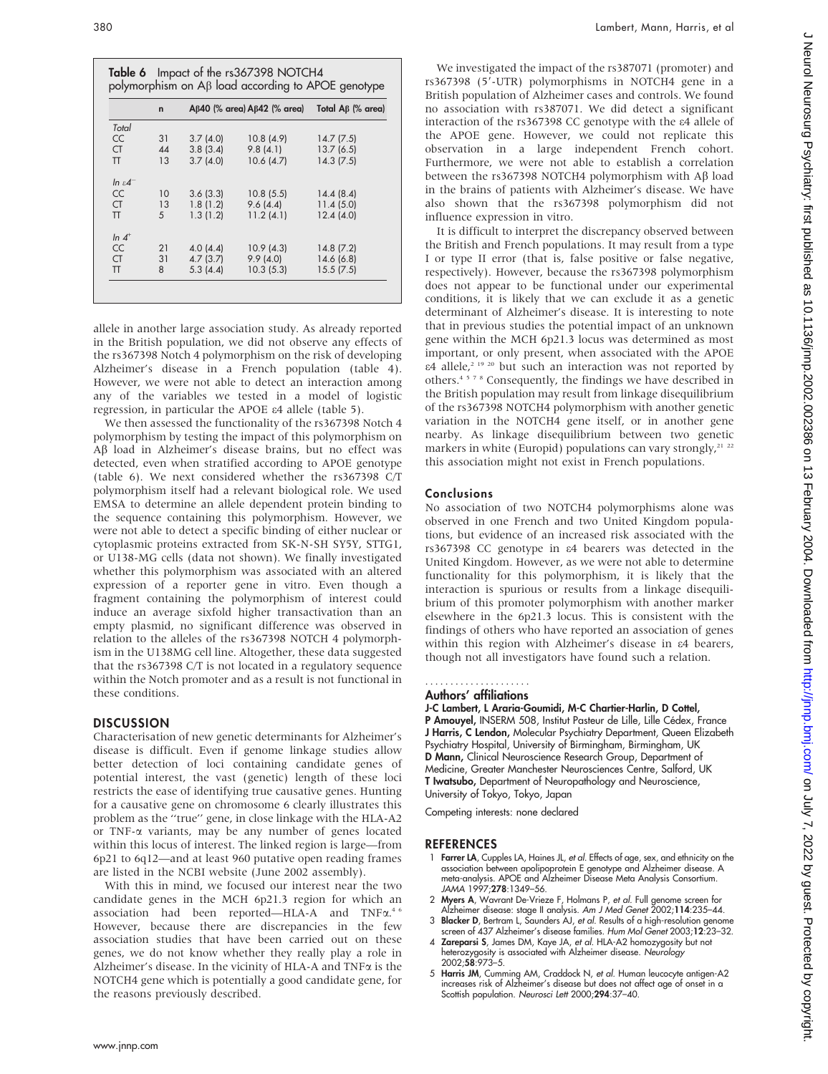|                       | $\mathbf n$ |          | $A\beta$ 40 (% area) $A\beta$ 42 (% area) | Total Aβ (% area) |
|-----------------------|-------------|----------|-------------------------------------------|-------------------|
| Total                 |             |          |                                           |                   |
| <b>CC</b>             | 31          | 3.7(4.0) | 10.8(4.9)                                 | 14.7(7.5)         |
| <b>CT</b>             | 44          | 3.8(3.4) | 9.8(4.1)                                  | 13.7(6.5)         |
| π                     | 13          | 3.7(4.0) | 10.6(4.7)                                 | 14.3(7.5)         |
| $\ln \varepsilon 4^-$ |             |          |                                           |                   |
| <b>CC</b>             | 10          | 3.6(3.3) | 10.8(5.5)                                 | 14.4(8.4)         |
| <b>CT</b>             | 13          | 1.8(1.2) | 9.6(4.4)                                  | 11.4(5.0)         |
| $\Pi$                 | 5           | 1.3(1.2) | 11.2(4.1)                                 | 12.4(4.0)         |
| $\ln 4$ <sup>+</sup>  |             |          |                                           |                   |
| <b>CC</b>             | 21          | 4.0(4.4) | 10.9(4.3)                                 | 14.8(7.2)         |
| <b>CT</b>             | 31          | 4.7(3.7) | 9.9(4.0)                                  | 14.6(6.8)         |
| π                     | 8           | 5.3(4.4) | 10.3(5.3)                                 | 15.5(7.5)         |

allele in another large association study. As already reported in the British population, we did not observe any effects of the rs367398 Notch 4 polymorphism on the risk of developing Alzheimer's disease in a French population (table 4). However, we were not able to detect an interaction among any of the variables we tested in a model of logistic regression, in particular the APOE e4 allele (table 5).

We then assessed the functionality of the rs367398 Notch 4 polymorphism by testing the impact of this polymorphism on Aβ load in Alzheimer's disease brains, but no effect was detected, even when stratified according to APOE genotype (table 6). We next considered whether the rs367398 C/T polymorphism itself had a relevant biological role. We used EMSA to determine an allele dependent protein binding to the sequence containing this polymorphism. However, we were not able to detect a specific binding of either nuclear or cytoplasmic proteins extracted from SK-N-SH SY5Y, STTG1, or U138-MG cells (data not shown). We finally investigated whether this polymorphism was associated with an altered expression of a reporter gene in vitro. Even though a fragment containing the polymorphism of interest could induce an average sixfold higher transactivation than an empty plasmid, no significant difference was observed in relation to the alleles of the rs367398 NOTCH 4 polymorphism in the U138MG cell line. Altogether, these data suggested that the rs367398 C/T is not located in a regulatory sequence within the Notch promoter and as a result is not functional in these conditions.

## **DISCUSSION**

Characterisation of new genetic determinants for Alzheimer's disease is difficult. Even if genome linkage studies allow better detection of loci containing candidate genes of potential interest, the vast (genetic) length of these loci restricts the ease of identifying true causative genes. Hunting for a causative gene on chromosome 6 clearly illustrates this problem as the ''true'' gene, in close linkage with the HLA-A2 or TNF-a variants, may be any number of genes located within this locus of interest. The linked region is large—from 6p21 to 6q12—and at least 960 putative open reading frames are listed in the NCBI website (June 2002 assembly).

With this in mind, we focused our interest near the two candidate genes in the MCH 6p21.3 region for which an association had been reported-HLA-A and TNF $\alpha$ .<sup>4 6</sup> However, because there are discrepancies in the few association studies that have been carried out on these genes, we do not know whether they really play a role in Alzheimer's disease. In the vicinity of HLA-A and  $TNF\alpha$  is the NOTCH4 gene which is potentially a good candidate gene, for the reasons previously described.

We investigated the impact of the rs387071 (promoter) and rs367398 (5'-UTR) polymorphisms in NOTCH4 gene in a British population of Alzheimer cases and controls. We found no association with rs387071. We did detect a significant interaction of the rs367398 CC genotype with the e4 allele of the APOE gene. However, we could not replicate this observation in a large independent French cohort. Furthermore, we were not able to establish a correlation between the rs367398 NOTCH4 polymorphism with Aß load in the brains of patients with Alzheimer's disease. We have also shown that the rs367398 polymorphism did not influence expression in vitro.

It is difficult to interpret the discrepancy observed between the British and French populations. It may result from a type I or type II error (that is, false positive or false negative, respectively). However, because the rs367398 polymorphism does not appear to be functional under our experimental conditions, it is likely that we can exclude it as a genetic determinant of Alzheimer's disease. It is interesting to note that in previous studies the potential impact of an unknown gene within the MCH 6p21.3 locus was determined as most important, or only present, when associated with the APOE  $\varepsilon$ 4 allele,<sup>2 19 20</sup> but such an interaction was not reported by others.4578 Consequently, the findings we have described in the British population may result from linkage disequilibrium of the rs367398 NOTCH4 polymorphism with another genetic variation in the NOTCH4 gene itself, or in another gene nearby. As linkage disequilibrium between two genetic markers in white (Europid) populations can vary strongly, $21^{22}$ this association might not exist in French populations.

#### Conclusions

No association of two NOTCH4 polymorphisms alone was observed in one French and two United Kingdom populations, but evidence of an increased risk associated with the rs367398 CC genotype in e4 bearers was detected in the United Kingdom. However, as we were not able to determine functionality for this polymorphism, it is likely that the interaction is spurious or results from a linkage disequilibrium of this promoter polymorphism with another marker elsewhere in the 6p21.3 locus. This is consistent with the findings of others who have reported an association of genes within this region with Alzheimer's disease in e4 bearers, though not all investigators have found such a relation.

#### Authors' affiliations .....................

J-C Lambert, L Araria-Goumidi, M-C Chartier-Harlin, D Cottel,

P Amouyel, INSERM 508, Institut Pasteur de Lille, Lille Cédex, France J Harris, C Lendon, Molecular Psychiatry Department, Queen Elizabeth Psychiatry Hospital, University of Birmingham, Birmingham, UK D Mann, Clinical Neuroscience Research Group, Department of Medicine, Greater Manchester Neurosciences Centre, Salford, UK T Iwatsubo, Department of Neuropathology and Neuroscience, University of Tokyo, Tokyo, Japan

Competing interests: none declared

#### **REFERENCES**

- 1 Farrer LA, Cupples LA, Haines JL, et al. Effects of age, sex, and ethnicity on the association between apolipoprotein E genotype and Alzheimer disease. A meta-analysis. APOE and Alzheimer Disease Meta Analysis Consortium. JAMA 1997;278:1349–56.
- 2 Myers A, Wavrant De-Vrieze F, Holmans P, et al. Full genome screen for Alzheimer disease: stage II analysis. Am J Med Genet 2002;114:235–44.
- 3 Blacker D, Bertram L, Saunders AJ, et al. Results of a high-resolution genome screen of 437 Alzheimer's disease families. Hum Mol Genet 2003;12:23-32.
- 4 Zareparsi S, James DM, Kaye JA, et al. HLA-A2 homozygosity but not heterozygosity is associated with Alzheimer disease. Neurology 2002;58:973–5.
- 5 Harris JM, Cumming AM, Craddock N, et al. Human leucocyte antigen-A2 increases risk of Alzheimer's disease but does not affect age of onset in a Scottish population. Neurosci Lett 2000;294:37-40.